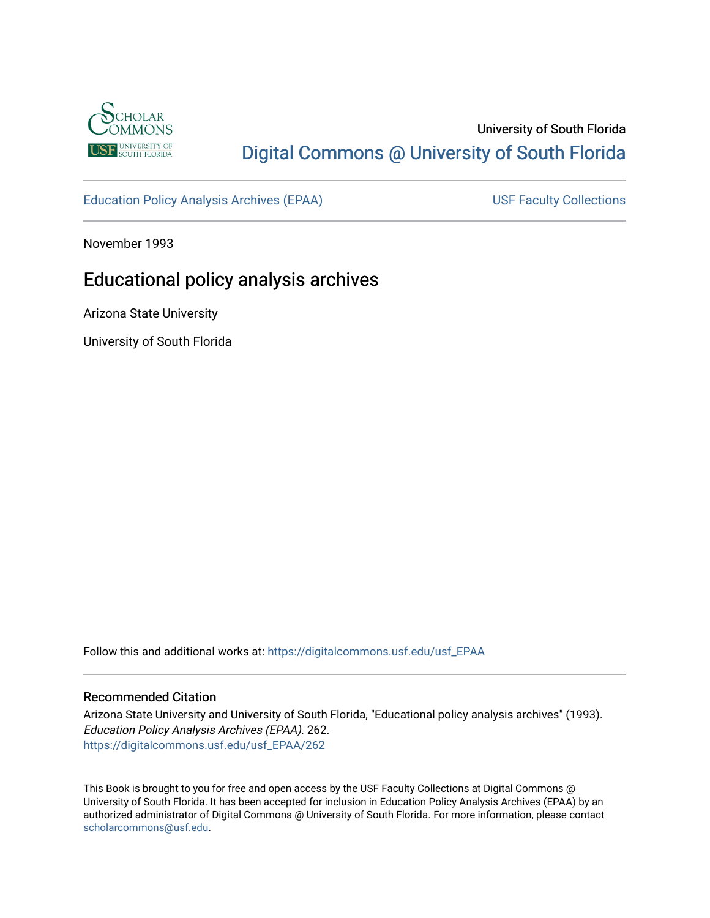

## University of South Florida [Digital Commons @ University of South Florida](https://digitalcommons.usf.edu/)

[Education Policy Analysis Archives \(EPAA\)](https://digitalcommons.usf.edu/usf_EPAA) USF Faculty Collections

November 1993

# Educational policy analysis archives

Arizona State University

University of South Florida

Follow this and additional works at: [https://digitalcommons.usf.edu/usf\\_EPAA](https://digitalcommons.usf.edu/usf_EPAA?utm_source=digitalcommons.usf.edu%2Fusf_EPAA%2F262&utm_medium=PDF&utm_campaign=PDFCoverPages)

#### Recommended Citation

Arizona State University and University of South Florida, "Educational policy analysis archives" (1993). Education Policy Analysis Archives (EPAA). 262. [https://digitalcommons.usf.edu/usf\\_EPAA/262](https://digitalcommons.usf.edu/usf_EPAA/262?utm_source=digitalcommons.usf.edu%2Fusf_EPAA%2F262&utm_medium=PDF&utm_campaign=PDFCoverPages)

This Book is brought to you for free and open access by the USF Faculty Collections at Digital Commons @ University of South Florida. It has been accepted for inclusion in Education Policy Analysis Archives (EPAA) by an authorized administrator of Digital Commons @ University of South Florida. For more information, please contact [scholarcommons@usf.edu.](mailto:scholarcommons@usf.edu)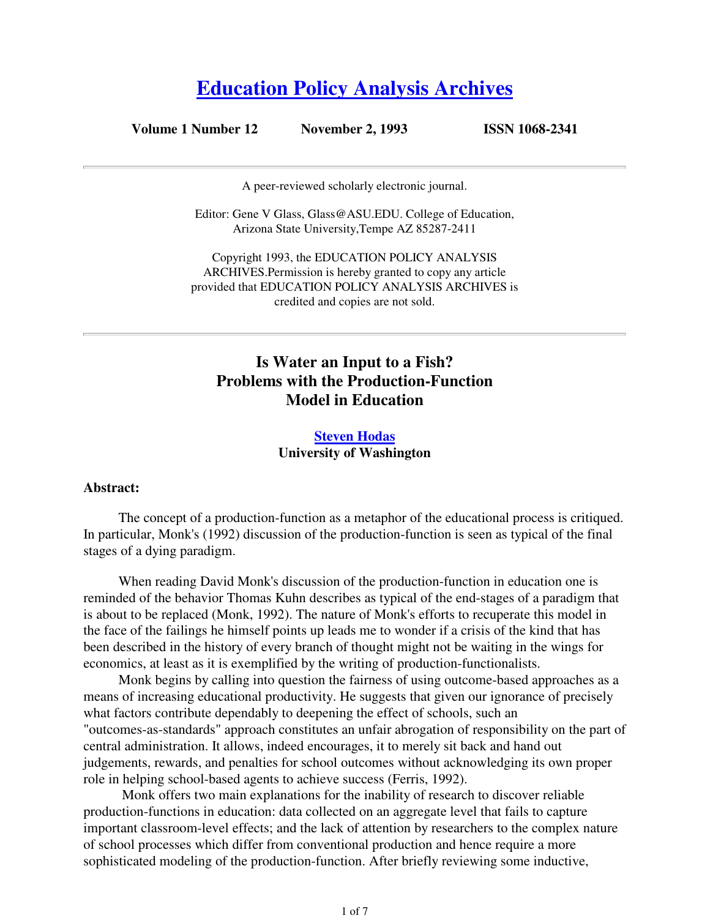# **Education Policy Analysis Archives**

**Volume 1 Number 12 November 2, 1993 ISSN 1068-2341**

A peer-reviewed scholarly electronic journal.

Editor: Gene V Glass, Glass@ASU.EDU. College of Education, Arizona State University,Tempe AZ 85287-2411

Copyright 1993, the EDUCATION POLICY ANALYSIS ARCHIVES.Permission is hereby granted to copy any article provided that EDUCATION POLICY ANALYSIS ARCHIVES is credited and copies are not sold.

## **Is Water an Input to a Fish? Problems with the Production-Function Model in Education**

### **Steven Hodas University of Washington**

#### **Abstract:**

The concept of a production-function as a metaphor of the educational process is critiqued. In particular, Monk's (1992) discussion of the production-function is seen as typical of the final stages of a dying paradigm.

When reading David Monk's discussion of the production-function in education one is reminded of the behavior Thomas Kuhn describes as typical of the end-stages of a paradigm that is about to be replaced (Monk, 1992). The nature of Monk's efforts to recuperate this model in the face of the failings he himself points up leads me to wonder if a crisis of the kind that has been described in the history of every branch of thought might not be waiting in the wings for economics, at least as it is exemplified by the writing of production-functionalists.

Monk begins by calling into question the fairness of using outcome-based approaches as a means of increasing educational productivity. He suggests that given our ignorance of precisely what factors contribute dependably to deepening the effect of schools, such an "outcomes-as-standards" approach constitutes an unfair abrogation of responsibility on the part of central administration. It allows, indeed encourages, it to merely sit back and hand out judgements, rewards, and penalties for school outcomes without acknowledging its own proper role in helping school-based agents to achieve success (Ferris, 1992).

 Monk offers two main explanations for the inability of research to discover reliable production-functions in education: data collected on an aggregate level that fails to capture important classroom-level effects; and the lack of attention by researchers to the complex nature of school processes which differ from conventional production and hence require a more sophisticated modeling of the production-function. After briefly reviewing some inductive,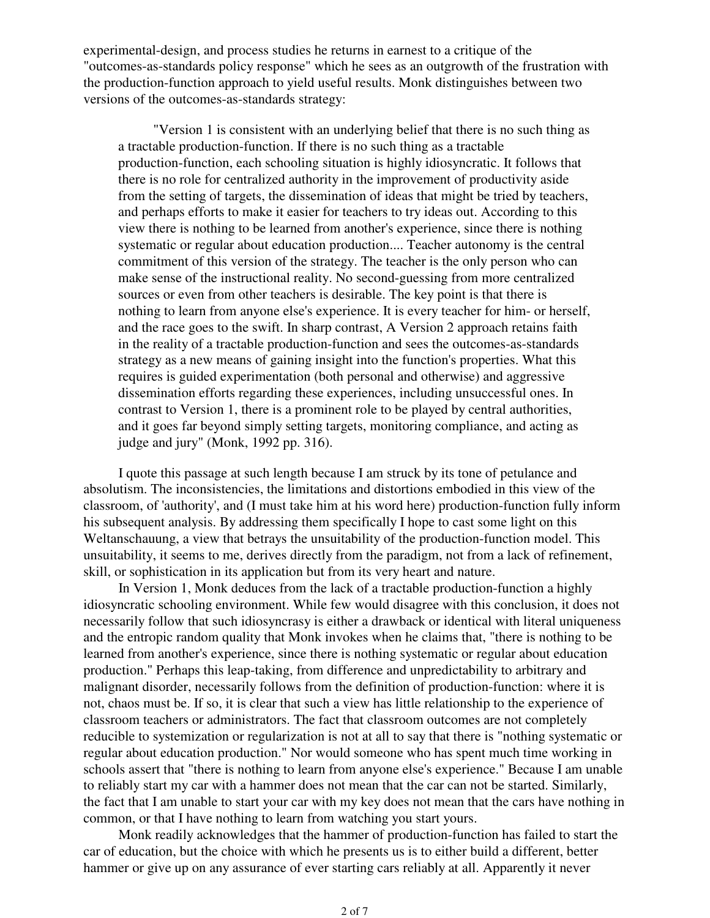experimental-design, and process studies he returns in earnest to a critique of the "outcomes-as-standards policy response" which he sees as an outgrowth of the frustration with the production-function approach to yield useful results. Monk distinguishes between two versions of the outcomes-as-standards strategy:

"Version 1 is consistent with an underlying belief that there is no such thing as a tractable production-function. If there is no such thing as a tractable production-function, each schooling situation is highly idiosyncratic. It follows that there is no role for centralized authority in the improvement of productivity aside from the setting of targets, the dissemination of ideas that might be tried by teachers, and perhaps efforts to make it easier for teachers to try ideas out. According to this view there is nothing to be learned from another's experience, since there is nothing systematic or regular about education production.... Teacher autonomy is the central commitment of this version of the strategy. The teacher is the only person who can make sense of the instructional reality. No second-guessing from more centralized sources or even from other teachers is desirable. The key point is that there is nothing to learn from anyone else's experience. It is every teacher for him- or herself, and the race goes to the swift. In sharp contrast, A Version 2 approach retains faith in the reality of a tractable production-function and sees the outcomes-as-standards strategy as a new means of gaining insight into the function's properties. What this requires is guided experimentation (both personal and otherwise) and aggressive dissemination efforts regarding these experiences, including unsuccessful ones. In contrast to Version 1, there is a prominent role to be played by central authorities, and it goes far beyond simply setting targets, monitoring compliance, and acting as judge and jury" (Monk, 1992 pp. 316).

I quote this passage at such length because I am struck by its tone of petulance and absolutism. The inconsistencies, the limitations and distortions embodied in this view of the classroom, of 'authority', and (I must take him at his word here) production-function fully inform his subsequent analysis. By addressing them specifically I hope to cast some light on this Weltanschauung, a view that betrays the unsuitability of the production-function model. This unsuitability, it seems to me, derives directly from the paradigm, not from a lack of refinement, skill, or sophistication in its application but from its very heart and nature.

In Version 1, Monk deduces from the lack of a tractable production-function a highly idiosyncratic schooling environment. While few would disagree with this conclusion, it does not necessarily follow that such idiosyncrasy is either a drawback or identical with literal uniqueness and the entropic random quality that Monk invokes when he claims that, "there is nothing to be learned from another's experience, since there is nothing systematic or regular about education production." Perhaps this leap-taking, from difference and unpredictability to arbitrary and malignant disorder, necessarily follows from the definition of production-function: where it is not, chaos must be. If so, it is clear that such a view has little relationship to the experience of classroom teachers or administrators. The fact that classroom outcomes are not completely reducible to systemization or regularization is not at all to say that there is "nothing systematic or regular about education production." Nor would someone who has spent much time working in schools assert that "there is nothing to learn from anyone else's experience." Because I am unable to reliably start my car with a hammer does not mean that the car can not be started. Similarly, the fact that I am unable to start your car with my key does not mean that the cars have nothing in common, or that I have nothing to learn from watching you start yours.

Monk readily acknowledges that the hammer of production-function has failed to start the car of education, but the choice with which he presents us is to either build a different, better hammer or give up on any assurance of ever starting cars reliably at all. Apparently it never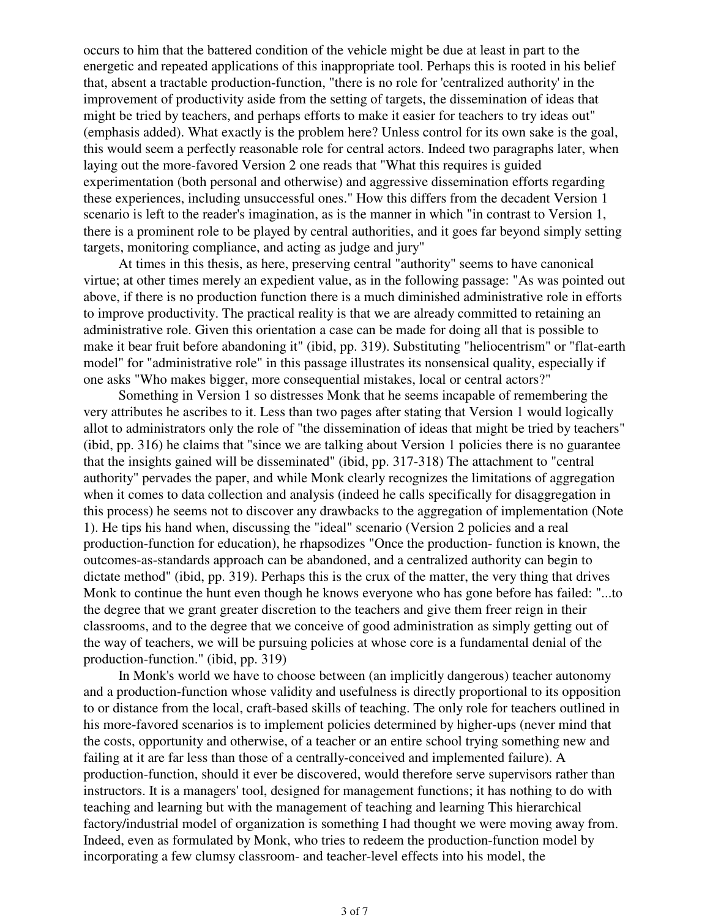occurs to him that the battered condition of the vehicle might be due at least in part to the energetic and repeated applications of this inappropriate tool. Perhaps this is rooted in his belief that, absent a tractable production-function, "there is no role for 'centralized authority' in the improvement of productivity aside from the setting of targets, the dissemination of ideas that might be tried by teachers, and perhaps efforts to make it easier for teachers to try ideas out" (emphasis added). What exactly is the problem here? Unless control for its own sake is the goal, this would seem a perfectly reasonable role for central actors. Indeed two paragraphs later, when laying out the more-favored Version 2 one reads that "What this requires is guided experimentation (both personal and otherwise) and aggressive dissemination efforts regarding these experiences, including unsuccessful ones." How this differs from the decadent Version 1 scenario is left to the reader's imagination, as is the manner in which "in contrast to Version 1, there is a prominent role to be played by central authorities, and it goes far beyond simply setting targets, monitoring compliance, and acting as judge and jury"

At times in this thesis, as here, preserving central "authority" seems to have canonical virtue; at other times merely an expedient value, as in the following passage: "As was pointed out above, if there is no production function there is a much diminished administrative role in efforts to improve productivity. The practical reality is that we are already committed to retaining an administrative role. Given this orientation a case can be made for doing all that is possible to make it bear fruit before abandoning it" (ibid, pp. 319). Substituting "heliocentrism" or "flat-earth model" for "administrative role" in this passage illustrates its nonsensical quality, especially if one asks "Who makes bigger, more consequential mistakes, local or central actors?"

Something in Version 1 so distresses Monk that he seems incapable of remembering the very attributes he ascribes to it. Less than two pages after stating that Version 1 would logically allot to administrators only the role of "the dissemination of ideas that might be tried by teachers" (ibid, pp. 316) he claims that "since we are talking about Version 1 policies there is no guarantee that the insights gained will be disseminated" (ibid, pp. 317-318) The attachment to "central authority" pervades the paper, and while Monk clearly recognizes the limitations of aggregation when it comes to data collection and analysis (indeed he calls specifically for disaggregation in this process) he seems not to discover any drawbacks to the aggregation of implementation (Note 1). He tips his hand when, discussing the "ideal" scenario (Version 2 policies and a real production-function for education), he rhapsodizes "Once the production- function is known, the outcomes-as-standards approach can be abandoned, and a centralized authority can begin to dictate method" (ibid, pp. 319). Perhaps this is the crux of the matter, the very thing that drives Monk to continue the hunt even though he knows everyone who has gone before has failed: "...to the degree that we grant greater discretion to the teachers and give them freer reign in their classrooms, and to the degree that we conceive of good administration as simply getting out of the way of teachers, we will be pursuing policies at whose core is a fundamental denial of the production-function." (ibid, pp. 319)

In Monk's world we have to choose between (an implicitly dangerous) teacher autonomy and a production-function whose validity and usefulness is directly proportional to its opposition to or distance from the local, craft-based skills of teaching. The only role for teachers outlined in his more-favored scenarios is to implement policies determined by higher-ups (never mind that the costs, opportunity and otherwise, of a teacher or an entire school trying something new and failing at it are far less than those of a centrally-conceived and implemented failure). A production-function, should it ever be discovered, would therefore serve supervisors rather than instructors. It is a managers' tool, designed for management functions; it has nothing to do with teaching and learning but with the management of teaching and learning This hierarchical factory/industrial model of organization is something I had thought we were moving away from. Indeed, even as formulated by Monk, who tries to redeem the production-function model by incorporating a few clumsy classroom- and teacher-level effects into his model, the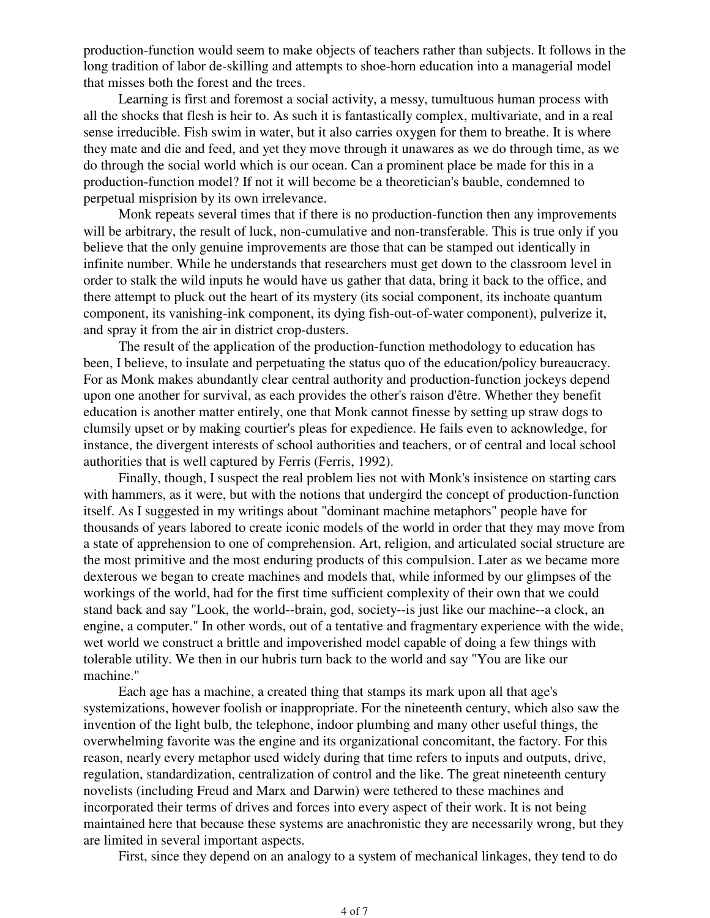production-function would seem to make objects of teachers rather than subjects. It follows in the long tradition of labor de-skilling and attempts to shoe-horn education into a managerial model that misses both the forest and the trees.

Learning is first and foremost a social activity, a messy, tumultuous human process with all the shocks that flesh is heir to. As such it is fantastically complex, multivariate, and in a real sense irreducible. Fish swim in water, but it also carries oxygen for them to breathe. It is where they mate and die and feed, and yet they move through it unawares as we do through time, as we do through the social world which is our ocean. Can a prominent place be made for this in a production-function model? If not it will become be a theoretician's bauble, condemned to perpetual misprision by its own irrelevance.

Monk repeats several times that if there is no production-function then any improvements will be arbitrary, the result of luck, non-cumulative and non-transferable. This is true only if you believe that the only genuine improvements are those that can be stamped out identically in infinite number. While he understands that researchers must get down to the classroom level in order to stalk the wild inputs he would have us gather that data, bring it back to the office, and there attempt to pluck out the heart of its mystery (its social component, its inchoate quantum component, its vanishing-ink component, its dying fish-out-of-water component), pulverize it, and spray it from the air in district crop-dusters.

The result of the application of the production-function methodology to education has been, I believe, to insulate and perpetuating the status quo of the education/policy bureaucracy. For as Monk makes abundantly clear central authority and production-function jockeys depend upon one another for survival, as each provides the other's raison d'être. Whether they benefit education is another matter entirely, one that Monk cannot finesse by setting up straw dogs to clumsily upset or by making courtier's pleas for expedience. He fails even to acknowledge, for instance, the divergent interests of school authorities and teachers, or of central and local school authorities that is well captured by Ferris (Ferris, 1992).

Finally, though, I suspect the real problem lies not with Monk's insistence on starting cars with hammers, as it were, but with the notions that undergird the concept of production-function itself. As I suggested in my writings about "dominant machine metaphors" people have for thousands of years labored to create iconic models of the world in order that they may move from a state of apprehension to one of comprehension. Art, religion, and articulated social structure are the most primitive and the most enduring products of this compulsion. Later as we became more dexterous we began to create machines and models that, while informed by our glimpses of the workings of the world, had for the first time sufficient complexity of their own that we could stand back and say "Look, the world--brain, god, society--is just like our machine--a clock, an engine, a computer." In other words, out of a tentative and fragmentary experience with the wide, wet world we construct a brittle and impoverished model capable of doing a few things with tolerable utility. We then in our hubris turn back to the world and say "You are like our machine."

Each age has a machine, a created thing that stamps its mark upon all that age's systemizations, however foolish or inappropriate. For the nineteenth century, which also saw the invention of the light bulb, the telephone, indoor plumbing and many other useful things, the overwhelming favorite was the engine and its organizational concomitant, the factory. For this reason, nearly every metaphor used widely during that time refers to inputs and outputs, drive, regulation, standardization, centralization of control and the like. The great nineteenth century novelists (including Freud and Marx and Darwin) were tethered to these machines and incorporated their terms of drives and forces into every aspect of their work. It is not being maintained here that because these systems are anachronistic they are necessarily wrong, but they are limited in several important aspects.

First, since they depend on an analogy to a system of mechanical linkages, they tend to do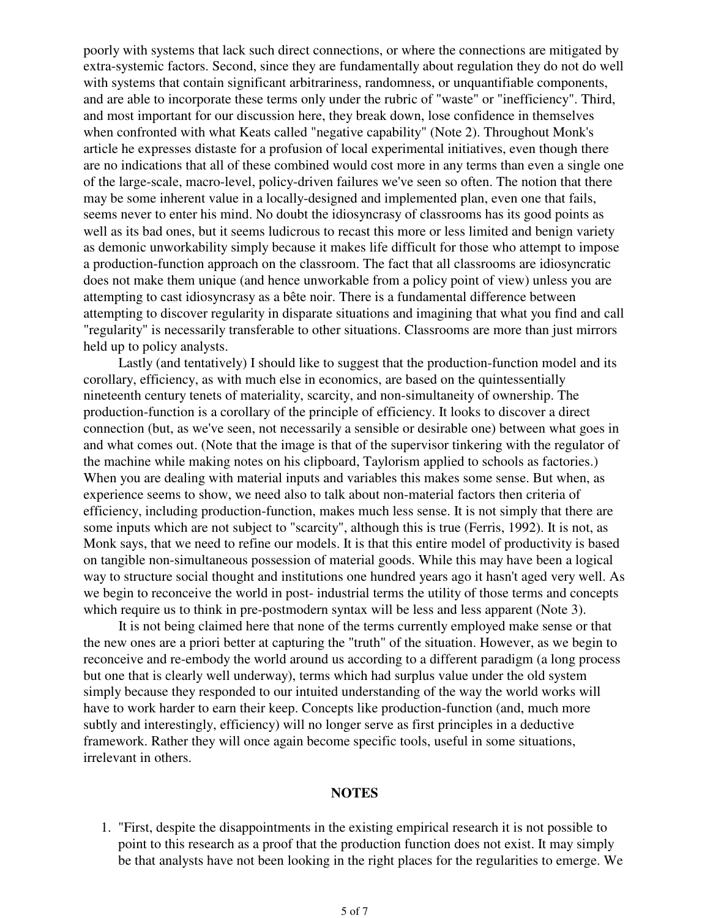poorly with systems that lack such direct connections, or where the connections are mitigated by extra-systemic factors. Second, since they are fundamentally about regulation they do not do well with systems that contain significant arbitrariness, randomness, or unquantifiable components, and are able to incorporate these terms only under the rubric of "waste" or "inefficiency". Third, and most important for our discussion here, they break down, lose confidence in themselves when confronted with what Keats called "negative capability" (Note 2). Throughout Monk's article he expresses distaste for a profusion of local experimental initiatives, even though there are no indications that all of these combined would cost more in any terms than even a single one of the large-scale, macro-level, policy-driven failures we've seen so often. The notion that there may be some inherent value in a locally-designed and implemented plan, even one that fails, seems never to enter his mind. No doubt the idiosyncrasy of classrooms has its good points as well as its bad ones, but it seems ludicrous to recast this more or less limited and benign variety as demonic unworkability simply because it makes life difficult for those who attempt to impose a production-function approach on the classroom. The fact that all classrooms are idiosyncratic does not make them unique (and hence unworkable from a policy point of view) unless you are attempting to cast idiosyncrasy as a bête noir. There is a fundamental difference between attempting to discover regularity in disparate situations and imagining that what you find and call "regularity" is necessarily transferable to other situations. Classrooms are more than just mirrors held up to policy analysts.

Lastly (and tentatively) I should like to suggest that the production-function model and its corollary, efficiency, as with much else in economics, are based on the quintessentially nineteenth century tenets of materiality, scarcity, and non-simultaneity of ownership. The production-function is a corollary of the principle of efficiency. It looks to discover a direct connection (but, as we've seen, not necessarily a sensible or desirable one) between what goes in and what comes out. (Note that the image is that of the supervisor tinkering with the regulator of the machine while making notes on his clipboard, Taylorism applied to schools as factories.) When you are dealing with material inputs and variables this makes some sense. But when, as experience seems to show, we need also to talk about non-material factors then criteria of efficiency, including production-function, makes much less sense. It is not simply that there are some inputs which are not subject to "scarcity", although this is true (Ferris, 1992). It is not, as Monk says, that we need to refine our models. It is that this entire model of productivity is based on tangible non-simultaneous possession of material goods. While this may have been a logical way to structure social thought and institutions one hundred years ago it hasn't aged very well. As we begin to reconceive the world in post- industrial terms the utility of those terms and concepts which require us to think in pre-postmodern syntax will be less and less apparent (Note 3).

It is not being claimed here that none of the terms currently employed make sense or that the new ones are a priori better at capturing the "truth" of the situation. However, as we begin to reconceive and re-embody the world around us according to a different paradigm (a long process but one that is clearly well underway), terms which had surplus value under the old system simply because they responded to our intuited understanding of the way the world works will have to work harder to earn their keep. Concepts like production-function (and, much more subtly and interestingly, efficiency) will no longer serve as first principles in a deductive framework. Rather they will once again become specific tools, useful in some situations, irrelevant in others.

#### **NOTES**

1. "First, despite the disappointments in the existing empirical research it is not possible to point to this research as a proof that the production function does not exist. It may simply be that analysts have not been looking in the right places for the regularities to emerge. We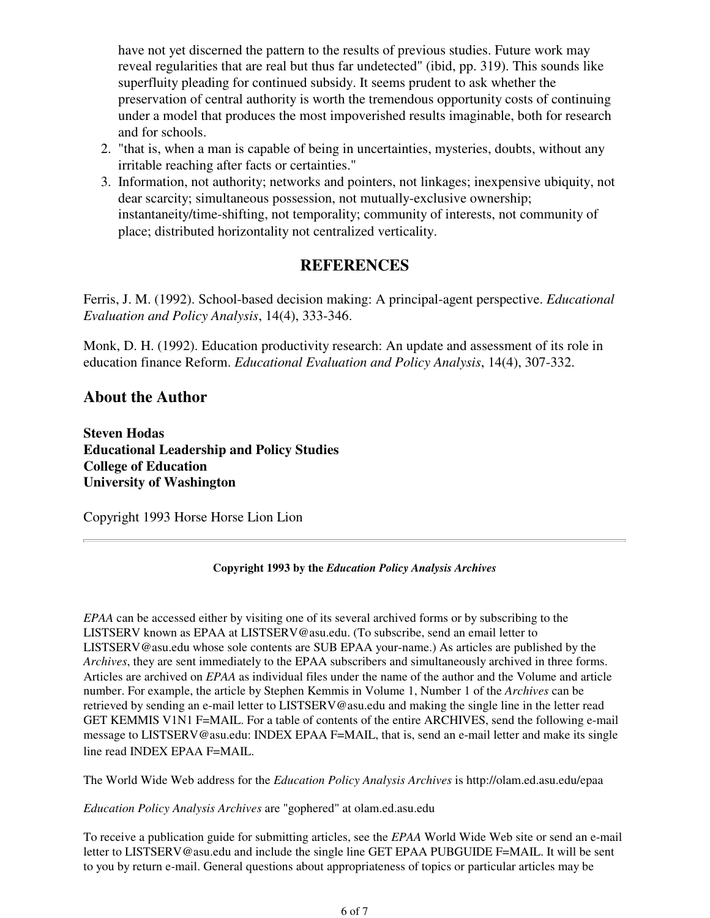have not yet discerned the pattern to the results of previous studies. Future work may reveal regularities that are real but thus far undetected" (ibid, pp. 319). This sounds like superfluity pleading for continued subsidy. It seems prudent to ask whether the preservation of central authority is worth the tremendous opportunity costs of continuing under a model that produces the most impoverished results imaginable, both for research and for schools.

- 2. "that is, when a man is capable of being in uncertainties, mysteries, doubts, without any irritable reaching after facts or certainties."
- 3. Information, not authority; networks and pointers, not linkages; inexpensive ubiquity, not dear scarcity; simultaneous possession, not mutually-exclusive ownership; instantaneity/time-shifting, not temporality; community of interests, not community of place; distributed horizontality not centralized verticality.

## **REFERENCES**

Ferris, J. M. (1992). School-based decision making: A principal-agent perspective. *Educational Evaluation and Policy Analysis*, 14(4), 333-346.

Monk, D. H. (1992). Education productivity research: An update and assessment of its role in education finance Reform. *Educational Evaluation and Policy Analysis*, 14(4), 307-332.

### **About the Author**

**Steven Hodas Educational Leadership and Policy Studies College of Education University of Washington**

Copyright 1993 Horse Horse Lion Lion

### **Copyright 1993 by the** *Education Policy Analysis Archives*

*EPAA* can be accessed either by visiting one of its several archived forms or by subscribing to the LISTSERV known as EPAA at LISTSERV@asu.edu. (To subscribe, send an email letter to LISTSERV@asu.edu whose sole contents are SUB EPAA your-name.) As articles are published by the *Archives*, they are sent immediately to the EPAA subscribers and simultaneously archived in three forms. Articles are archived on *EPAA* as individual files under the name of the author and the Volume and article number. For example, the article by Stephen Kemmis in Volume 1, Number 1 of the *Archives* can be retrieved by sending an e-mail letter to LISTSERV@asu.edu and making the single line in the letter read GET KEMMIS V1N1 F=MAIL. For a table of contents of the entire ARCHIVES, send the following e-mail message to LISTSERV@asu.edu: INDEX EPAA F=MAIL, that is, send an e-mail letter and make its single line read INDEX EPAA F=MAIL.

The World Wide Web address for the *Education Policy Analysis Archives* is http://olam.ed.asu.edu/epaa

*Education Policy Analysis Archives* are "gophered" at olam.ed.asu.edu

To receive a publication guide for submitting articles, see the *EPAA* World Wide Web site or send an e-mail letter to LISTSERV@asu.edu and include the single line GET EPAA PUBGUIDE F=MAIL. It will be sent to you by return e-mail. General questions about appropriateness of topics or particular articles may be